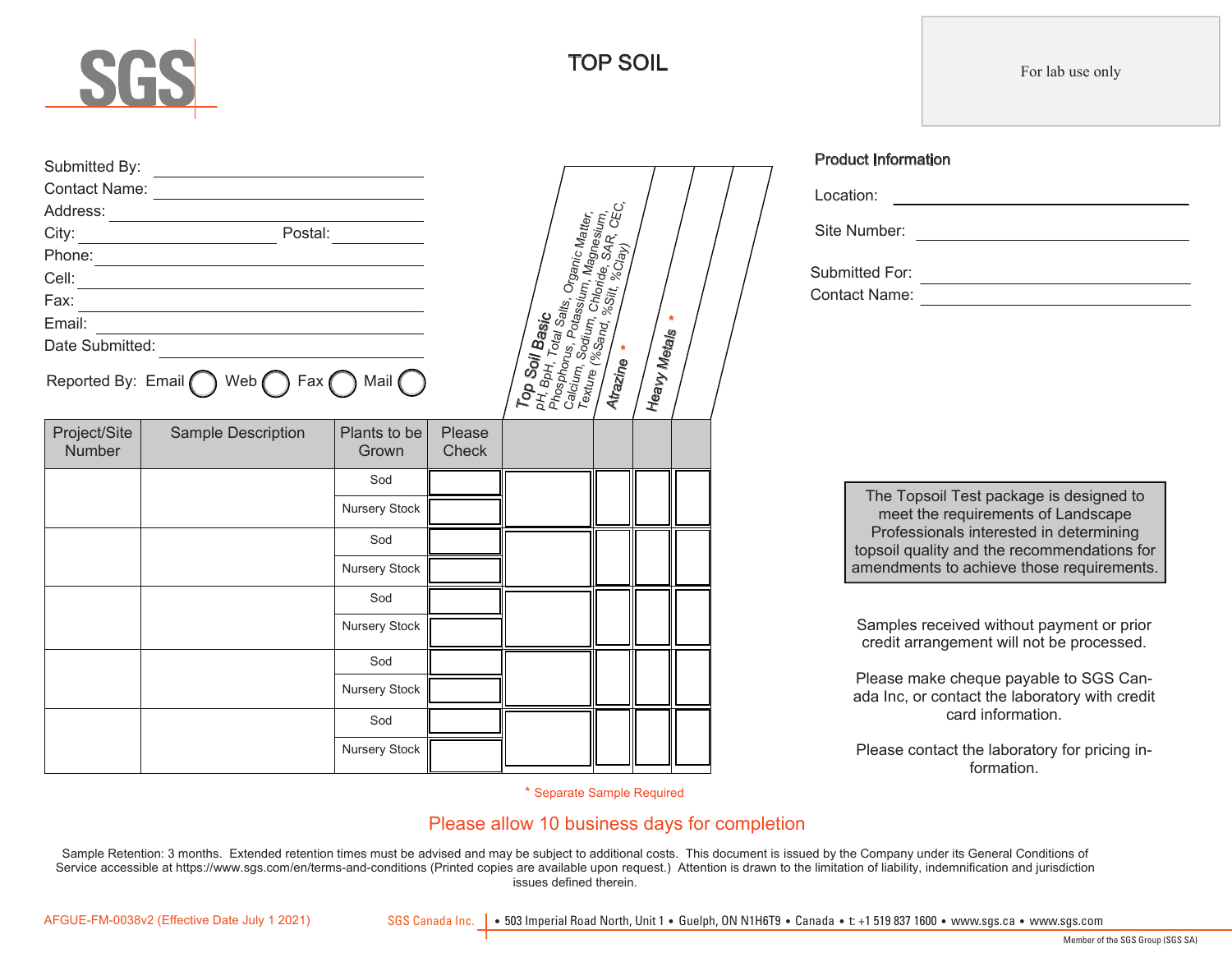

Submitted By:

Address:

Project/Site Number

Date Submitted:

Sample Description | Plants to be

Reported By: Email  $\bigcap$  Web  $\bigcap$  Fax  $\bigcap$  Mail

Contact Name:

<u> Alexandria (Carlo Carlo Carlo Carlo Carlo Carlo Carlo Carlo Carlo Carlo Carlo Carlo Carlo Carlo Carlo Carlo Ca</u>

Phone: Cell: Fax: Email:

City: Postal:

Grown

Sod Nursery Stock Sod Nursery Stock Sod Nursery Stock

Sod Nursery Stock Sod Nursery Stock Please **Check**   $\mathcal{E}_{\mathcal{A}}$ 

Soil Basic<br><sup>oH</sup> T

pH, BpH, Total Salts,<br>Phosphorus, Potal Salts, Organic Matter,<br>Calcium, Sodium, Chloride, SAR Silum,<br>Texture, Sodium, Chloride, SAR Silum,<br>**Atrazine, Chloride, SAR**, CEC, Texture (%Sand, %Silln, Mi<sup>nc</sup>h, 1999)<br>Atrazine (%Sand, %Shiride, \$Ap<br>**Atrazine \*** 

Heavy

Meta<sub>ls</sub>

| Location:                       |  |
|---------------------------------|--|
| Site Number:                    |  |
| Submitted For:<br>Contact Name: |  |

The Topsoil Test package is designed to meet the requirements of Landscape Professionals interested in determining topsoil quality and the recommendations for amendments to achieve those requirements.

Samples received without payment or prior credit arrangement will not be processed.

Please make cheque payable to SGS Canada Inc, or contact the laboratory with credit card information.

Please contact the laboratory for pricing information.

\* Separate Sample Required

#### Please allow 10 business days for completion

Sample Retention: 3 months. Extended retention times must be advised and may be subject to additional costs. This document is issued by the Company under its General Conditions of Service accessible at https://www.sgs.com/en/terms-and-conditions (Printed copies are available upon request.) Attention is drawn to the limitation of liability, indemnification and jurisdiction issues defined therein.

AFGUE-FM-0038v2 (Effective Date July 1 2021)